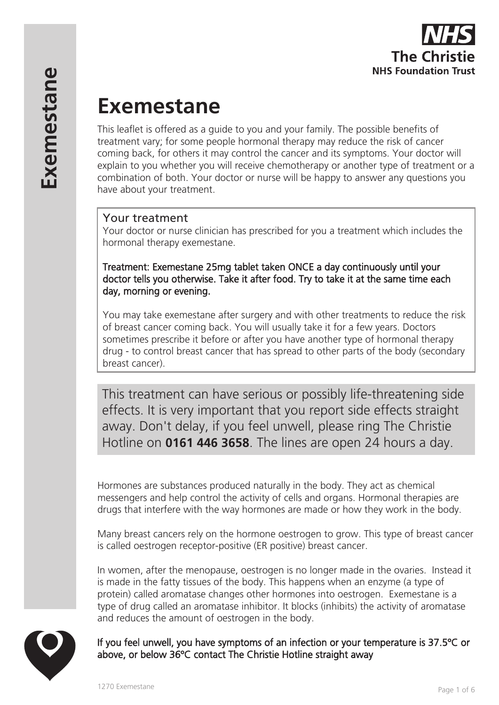

# **Exemestane**

This leaflet is offered as a guide to you and your family. The possible benefits of treatment vary; for some people hormonal therapy may reduce the risk of cancer coming back, for others it may control the cancer and its symptoms. Your doctor will explain to you whether you will receive chemotherapy or another type of treatment or a combination of both. Your doctor or nurse will be happy to answer any questions you have about your treatment.

# Your treatment

Your doctor or nurse clinician has prescribed for you a treatment which includes the hormonal therapy exemestane.

Treatment: Exemestane 25mg tablet taken ONCE a day continuously until your doctor tells you otherwise. Take it after food. Try to take it at the same time each day, morning or evening.

You may take exemestane after surgery and with other treatments to reduce the risk of breast cancer coming back. You will usually take it for a few years. Doctors sometimes prescribe it before or after you have another type of hormonal therapy drug - to control breast cancer that has spread to other parts of the body (secondary breast cancer).

This treatment can have serious or possibly life-threatening side effects. It is very important that you report side effects straight away. Don't delay, if you feel unwell, please ring The Christie Hotline on **0161 446 3658**. The lines are open 24 hours a day.

Hormones are substances produced naturally in the body. They act as chemical messengers and help control the activity of cells and organs. Hormonal therapies are drugs that interfere with the way hormones are made or how they work in the body.

Many breast cancers rely on the hormone oestrogen to grow. This type of breast cancer is called oestrogen receptor-positive (ER positive) breast cancer.

In women, after the menopause, oestrogen is no longer made in the ovaries. Instead it is made in the fatty tissues of the body. This happens when an enzyme (a type of protein) called aromatase changes other hormones into oestrogen. Exemestane is a type of drug called an aromatase inhibitor. It blocks (inhibits) the activity of aromatase and reduces the amount of oestrogen in the body.

If you feel unwell, you have symptoms of an infection or your temperature is 37.5ºC or above, or below 36ºC contact The Christie Hotline straight away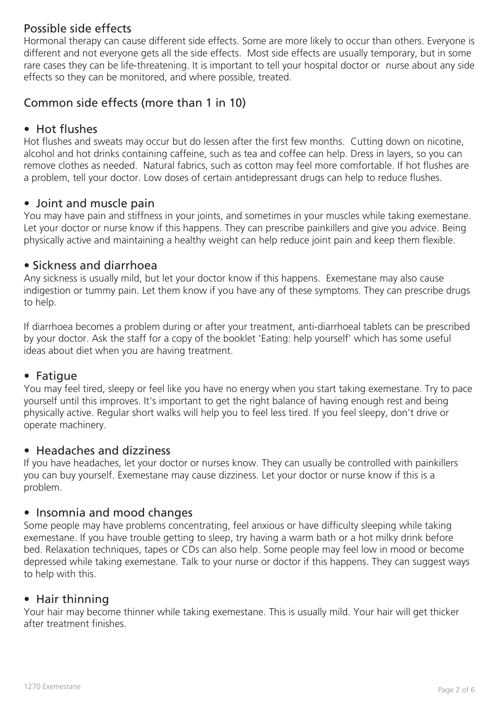# Possible side effects

Hormonal therapy can cause different side effects. Some are more likely to occur than others. Everyone is different and not everyone gets all the side effects. Most side effects are usually temporary, but in some rare cases they can be life-threatening. It is important to tell your hospital doctor or nurse about any side effects so they can be monitored, and where possible, treated.

# Common side effects (more than 1 in 10)

# • Hot flushes

Hot flushes and sweats may occur but do lessen after the first few months. Cutting down on nicotine, alcohol and hot drinks containing caffeine, such as tea and coffee can help. Dress in layers, so you can remove clothes as needed. Natural fabrics, such as cotton may feel more comfortable. If hot flushes are a problem, tell your doctor. Low doses of certain antidepressant drugs can help to reduce flushes.

# • Joint and muscle pain

You may have pain and stiffness in your joints, and sometimes in your muscles while taking exemestane. Let your doctor or nurse know if this happens. They can prescribe painkillers and give you advice. Being physically active and maintaining a healthy weight can help reduce joint pain and keep them flexible.

#### • Sickness and diarrhoea

Any sickness is usually mild, but let your doctor know if this happens. Exemestane may also cause indigestion or tummy pain. Let them know if you have any of these symptoms. They can prescribe drugs to help.

If diarrhoea becomes a problem during or after your treatment, anti-diarrhoeal tablets can be prescribed by your doctor. Ask the staff for a copy of the booklet 'Eating: help yourself' which has some useful ideas about diet when you are having treatment.

# • Fatigue

You may feel tired, sleepy or feel like you have no energy when you start taking exemestane. Try to pace yourself until this improves. It's important to get the right balance of having enough rest and being physically active. Regular short walks will help you to feel less tired. If you feel sleepy, don't drive or operate machinery.

# • Headaches and dizziness

If you have headaches, let your doctor or nurses know. They can usually be controlled with painkillers you can buy yourself. Exemestane may cause dizziness. Let your doctor or nurse know if this is a problem.

# • Insomnia and mood changes

Some people may have problems concentrating, feel anxious or have difficulty sleeping while taking exemestane. If you have trouble getting to sleep, try having a warm bath or a hot milky drink before bed. Relaxation techniques, tapes or CDs can also help. Some people may feel low in mood or become depressed while taking exemestane. Talk to your nurse or doctor if this happens. They can suggest ways to help with this.

# • Hair thinning

Your hair may become thinner while taking exemestane. This is usually mild. Your hair will get thicker after treatment finishes.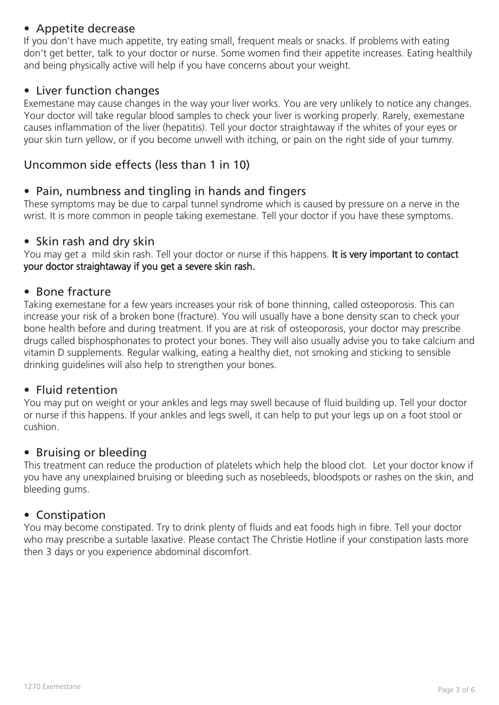# • Appetite decrease

If you don't have much appetite, try eating small, frequent meals or snacks. If problems with eating don't get better, talk to your doctor or nurse. Some women find their appetite increases. Eating healthily and being physically active will help if you have concerns about your weight.

# • Liver function changes

Exemestane may cause changes in the way your liver works. You are very unlikely to notice any changes. Your doctor will take regular blood samples to check your liver is working properly. Rarely, exemestane causes inflammation of the liver (hepatitis). Tell your doctor straightaway if the whites of your eyes or your skin turn yellow, or if you become unwell with itching, or pain on the right side of your tummy.

# Uncommon side effects (less than 1 in 10)

# • Pain, numbness and tingling in hands and fingers

These symptoms may be due to carpal tunnel syndrome which is caused by pressure on a nerve in the wrist. It is more common in people taking exemestane. Tell your doctor if you have these symptoms.

#### • Skin rash and dry skin

You may get a mild skin rash. Tell your doctor or nurse if this happens. It is very important to contact your doctor straightaway if you get a severe skin rash.

#### • Bone fracture

Taking exemestane for a few years increases your risk of bone thinning, called osteoporosis. This can increase your risk of a broken bone (fracture). You will usually have a bone density scan to check your bone health before and during treatment. If you are at risk of osteoporosis, your doctor may prescribe drugs called bisphosphonates to protect your bones. They will also usually advise you to take calcium and vitamin D supplements. Regular walking, eating a healthy diet, not smoking and sticking to sensible drinking guidelines will also help to strengthen your bones.

# • Fluid retention

You may put on weight or your ankles and legs may swell because of fluid building up. Tell your doctor or nurse if this happens. If your ankles and legs swell, it can help to put your legs up on a foot stool or cushion.

# • Bruising or bleeding

This treatment can reduce the production of platelets which help the blood clot. Let your doctor know if you have any unexplained bruising or bleeding such as nosebleeds, bloodspots or rashes on the skin, and bleeding gums.

# • Constipation

You may become constipated. Try to drink plenty of fluids and eat foods high in fibre. Tell your doctor who may prescribe a suitable laxative. Please contact The Christie Hotline if your constipation lasts more then 3 days or you experience abdominal discomfort.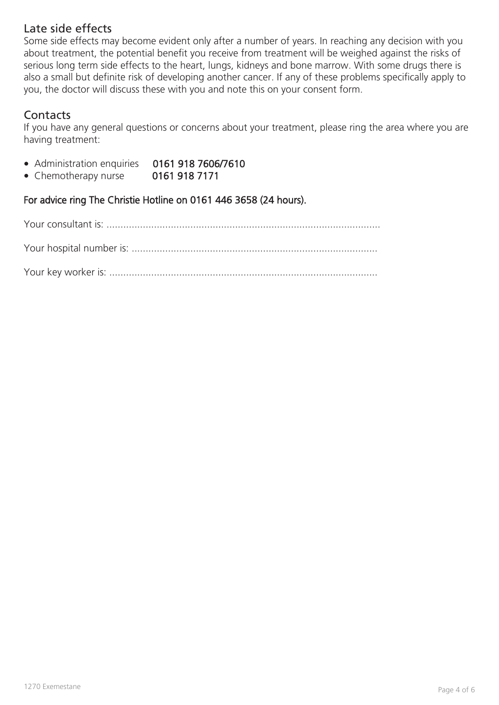# Late side effects

Some side effects may become evident only after a number of years. In reaching any decision with you about treatment, the potential benefit you receive from treatment will be weighed against the risks of serious long term side effects to the heart, lungs, kidneys and bone marrow. With some drugs there is also a small but definite risk of developing another cancer. If any of these problems specifically apply to you, the doctor will discuss these with you and note this on your consent form.

# **Contacts**

If you have any general questions or concerns about your treatment, please ring the area where you are having treatment:

- Administration enquiries 0161 918 7606/7610
- Chemotherapy nurse 0161 918 7171

For advice ring The Christie Hotline on 0161 446 3658 (24 hours).

Your consultant is: ..................................................................................................

Your hospital number is: ........................................................................................

Your key worker is: ................................................................................................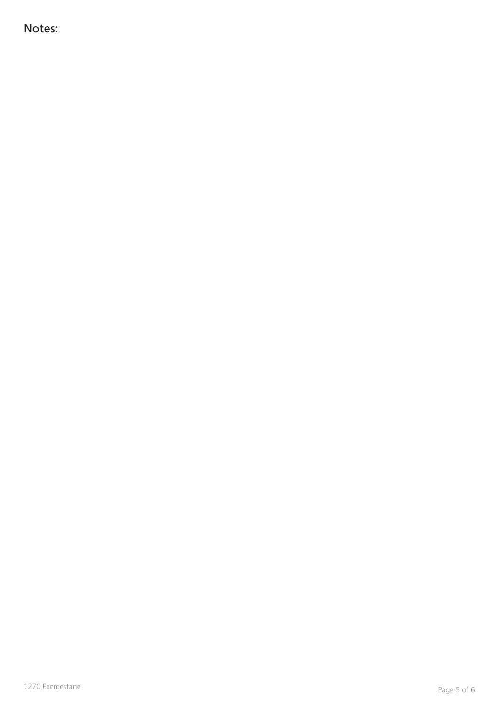Notes: